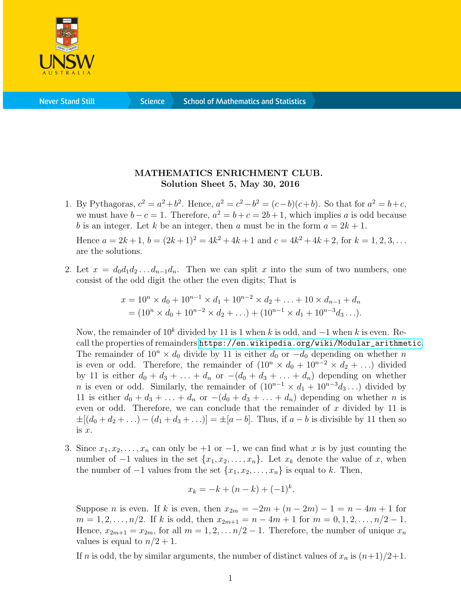

**Science** 

## MATHEMATICS ENRICHMENT CLUB. Solution Sheet 5, May 30, 2016

1. By Pythagoras,  $c^2 = a^2 + b^2$ . Hence,  $a^2 = c^2 - b^2 = (c - b)(c + b)$ . So that for  $a^2 = b + c$ , we must have  $b - c = 1$ . Therefore,  $a^2 = b + c = 2b + 1$ , which implies a is odd because b is an integer. Let k be an integer, then a must be in the form  $a = 2k + 1$ .

Hence  $a = 2k+1$ ,  $b = (2k+1)^2 = 4k^2 + 4k + 1$  and  $c = 4k^2 + 4k + 2$ , for  $k = 1, 2, 3, ...$ are the solutions.

2. Let  $x = d_0d_1d_2 \ldots d_{n-1}d_n$ . Then we can split x into the sum of two numbers, one consist of the odd digit the other the even digits; That is

$$
x = 10n \times d_0 + 10n-1 \times d_1 + 10n-2 \times d_2 + \dots + 10 \times d_{n-1} + d_n
$$
  
=  $(10n \times d_0 + 10n-2 \times d_2 + \dots) + (10n-1 \times d_1 + 10n-3 d_3 \dots).$ 

Now, the remainder of  $10^k$  divided by 11 is 1 when k is odd, and  $-1$  when k is even. Recall the properties of remainders [https://en.wikipedia.org/wiki/Modular\\_arithmetic](https://en.wikipedia.org/wiki/Modular_arithmetic). The remainder of  $10^n \times d_0$  divide by 11 is either  $d_0$  or  $-d_0$  depending on whether n is even or odd. Therefore, the remainder of  $(10<sup>n</sup> × d<sub>0</sub> + 10<sup>n-2</sup> × d<sub>2</sub> + ...)$  divided by 11 is either  $d_0 + d_3 + \ldots + d_n$  or  $-(d_0 + d_3 + \ldots + d_n)$  depending on whether n is even or odd. Similarly, the remainder of  $(10^{n-1} \times d_1 + 10^{n-3} d_3 \dots)$  divided by 11 is either  $d_0 + d_3 + \ldots + d_n$  or  $-(d_0 + d_3 + \ldots + d_n)$  depending on whether *n* is even or odd. Therefore, we can conclude that the remainder of  $x$  divided by 11 is  $\pm[(d_0 + d_2 + ...) - (d_1 + d_3 + ...) = \pm[a - b]$ . Thus, if  $a - b$  is divisible by 11 then so is x.

3. Since  $x_1, x_2, \ldots, x_n$  can only be +1 or -1, we can find what x is by just counting the number of  $-1$  values in the set  $\{x_1, x_2, \ldots, x_n\}$ . Let  $x_k$  denote the value of x, when the number of  $-1$  values from the set  $\{x_1, x_2, \ldots, x_n\}$  is equal to k. Then,

$$
x_k = -k + (n - k) + (-1)^k.
$$

Suppose *n* is even. If k is even, then  $x_{2m} = -2m + (n - 2m) - 1 = n - 4m + 1$  for  $m = 1, 2, \ldots, n/2$ . If k is odd, then  $x_{2m+1} = n - 4m + 1$  for  $m = 0, 1, 2, \ldots, n/2 - 1$ . Hence,  $x_{2m+1} = x_{2m}$ , for all  $m = 1, 2, \ldots n/2 - 1$ . Therefore, the number of unique  $x_n$ values is equal to  $n/2 + 1$ .

If n is odd, the by similar arguments, the number of distinct values of  $x_n$  is  $(n+1)/2+1$ .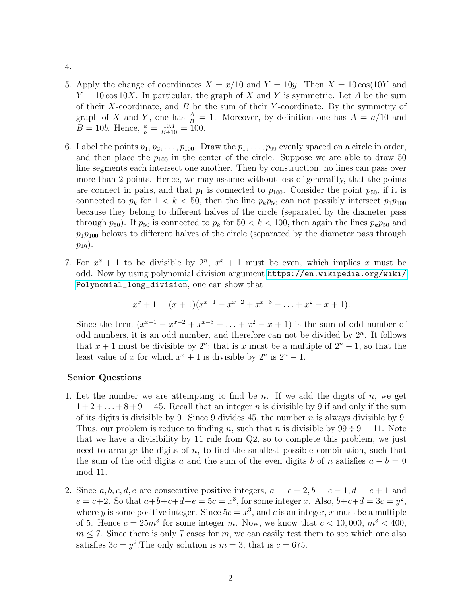- 4.
- 5. Apply the change of coordinates  $X = x/10$  and  $Y = 10y$ . Then  $X = 10 \cos(10Y)$  and  $Y = 10 \cos 10X$ . In particular, the graph of X and Y is symmetric. Let A be the sum of their X-coordinate, and  $B$  be the sum of their Y-coordinate. By the symmetry of graph of X and Y, one has  $\frac{A}{B} = 1$ . Moreover, by definition one has  $A = a/10$  and  $B = 10b$ . Hence,  $\frac{a}{b} = \frac{10A}{B \div 10} = 100$ .
- 6. Label the points  $p_1, p_2, \ldots, p_{100}$ . Draw the  $p_1, \ldots, p_{99}$  evenly spaced on a circle in order, and then place the  $p_{100}$  in the center of the circle. Suppose we are able to draw 50 line segments each intersect one another. Then by construction, no lines can pass over more than 2 points. Hence, we may assume without loss of generality, that the points are connect in pairs, and that  $p_1$  is connected to  $p_{100}$ . Consider the point  $p_{50}$ , if it is connected to  $p_k$  for  $1 < k < 50$ , then the line  $p_k p_{50}$  can not possibly intersect  $p_1 p_{100}$ because they belong to different halves of the circle (separated by the diameter pass through  $p_{50}$ ). If  $p_{50}$  is connected to  $p_k$  for  $50 < k < 100$ , then again the lines  $p_k p_{50}$  and  $p_1p_{100}$  belows to different halves of the circle (separated by the diameter pass through  $p_{49}$ ).
- 7. For  $x^x + 1$  to be divisible by  $2^n$ ,  $x^x + 1$  must be even, which implies x must be odd. Now by using polynomial division argument [https://en.wikipedia.org/wiki/](https://en.wikipedia.org/wiki/Polynomial_long_division) [Polynomial\\_long\\_division](https://en.wikipedia.org/wiki/Polynomial_long_division), one can show that

$$
x^{x} + 1 = (x + 1)(x^{x-1} - x^{x-2} + x^{x-3} - \dots + x^{2} - x + 1).
$$

Since the term  $(x^{x-1} - x^{x-2} + x^{x-3} - \ldots + x^2 - x + 1)$  is the sum of odd number of odd numbers, it is an odd number, and therefore can not be divided by  $2<sup>n</sup>$ . It follows that  $x + 1$  must be divisible by  $2^n$ ; that is x must be a multiple of  $2^n - 1$ , so that the least value of x for which  $x^x + 1$  is divisible by  $2^n$  is  $2^n - 1$ .

## Senior Questions

- 1. Let the number we are attempting to find be n. If we add the digits of n, we get  $1+2+\ldots+8+9=45$ . Recall that an integer n is divisible by 9 if and only if the sum of its digits is divisible by 9. Since 9 divides 45, the number  $n$  is always divisible by 9. Thus, our problem is reduce to finding n, such that n is divisible by  $99 \div 9 = 11$ . Note that we have a divisibility by 11 rule from Q2, so to complete this problem, we just need to arrange the digits of  $n$ , to find the smallest possible combination, such that the sum of the odd digits a and the sum of the even digits b of n satisfies  $a - b = 0$ mod 11.
- 2. Since a, b, c, d, e are consecutive positive integers,  $a = c 2$ ,  $b = c 1$ ,  $d = c + 1$  and  $e = c+2$ . So that  $a+b+c+d+e = 5c = x^3$ , for some integer x. Also,  $b+c+d = 3c = y^2$ , where y is some positive integer. Since  $5c = x^3$ , and c is an integer, x must be a multiple of 5. Hence  $c = 25m^3$  for some integer m. Now, we know that  $c < 10,000, m^3 < 400$ ,  $m \leq 7$ . Since there is only 7 cases for m, we can easily test them to see which one also satisfies  $3c = y^2$ . The only solution is  $m = 3$ ; that is  $c = 675$ .